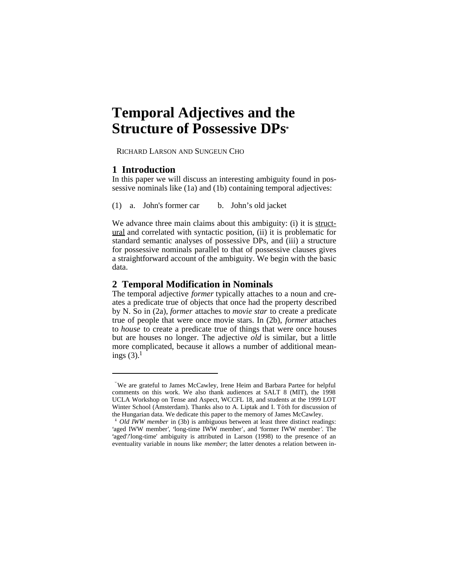# **Temporal Adjectives and the Structure of Possessive DPs\***

RICHARD LARSON AND SUNGEUN CHO

## **1 Introduction**

In this paper we will discuss an interesting ambiguity found in possessive nominals like (1a) and (1b) containing temporal adjectives:

(1) a. John's former car b. John's old jacket

We advance three main claims about this ambiguity: (i) it is structural and correlated with syntactic position, (ii) it is problematic for standard semantic analyses of possessive DPs, and (iii) a structure for possessive nominals parallel to that of possessive clauses gives a straightforward account of the ambiguity. We begin with the basic data.

# **2 Temporal Modification in Nominals**

The temporal adjective *former* typically attaches to a noun and creates a predicate true of objects that once had the property described by N. So in (2a), *former* attaches to *movie star* to create a predicate true of people that were once movie stars. In (2b), *former* attaches to *house* to create a predicate true of things that were once houses but are houses no longer. The adjective *old* is similar, but a little more complicated, because it allows a number of additional meanings  $(3)$ .<sup>1</sup>

**<sup>\*</sup>**We are grateful to James McCawley, Irene Heim and Barbara Partee for helpful comments on this work. We also thank audiences at SALT 8 (MIT), the 1998 UCLA Workshop on Tense and Aspect, WCCFL 18, and students at the 1999 LOT Winter School (Amsterdam). Thanks also to A. Liptak and I. Tòth for discussion of the Hungarian data. We dedicate this paper to the memory of James McCawley.

<sup>&</sup>lt;sup>1</sup> *Old IWW member* in (3b) is ambiguous between at least three distinct readings: 'aged IWW member', 'long-time IWW member', and 'former IWW member'. The 'aged'/'long-time' ambiguity is attributed in Larson (1998) to the presence of an eventuality variable in nouns like *member*; the latter denotes a relation between in-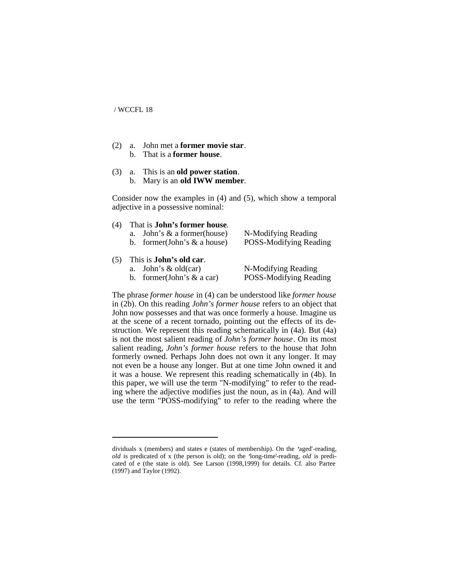- (2) a. John met a **former movie star**. b. That is a **former house**.
- (3) a. This is an **old power station**. b. Mary is an **old IWW member**.

Consider now the examples in (4) and (5), which show a temporal adjective in a possessive nominal:

#### (4) That is **John's former house**.

| a. John's $\&$ a former(house) | N-Modifying Reading    |
|--------------------------------|------------------------|
| b. former(John's $\&$ a house) | POSS-Modifying Reading |

## (5) This is **John's old car**.

- a. John's & old(car) N-Modifying Reading
- 

b. former(John's & a car) POSS-Modifying Reading

The phrase *former house* in (4) can be understood like *former house* in (2b). On this reading *John's former house* refers to an object that John now possesses and that was once formerly a house. Imagine us at the scene of a recent tornado, pointing out the effects of its destruction. We represent this reading schematically in (4a). But (4a) is not the most salient reading of *John's former house*. On its most salient reading, *John's former house* refers to the house that John formerly owned. Perhaps John does not own it any longer. It may not even be a house any longer. But at one time John owned it and it was a house. We represent this reading schematically in (4b). In this paper, we will use the term "N-modifying" to refer to the reading where the adjective modifies just the noun, as in (4a). And will use the term "POSS-modifying" to refer to the reading where the

dividuals  $x$  (members) and states  $e$  (states of membership). On the 'aged'-reading, *old* is predicated of x (the person is old); on the 'long-time'-reading, *old* is predicated of e (the state is old). See Larson (1998,1999) for details. Cf. also Partee (1997) and Taylor (1992).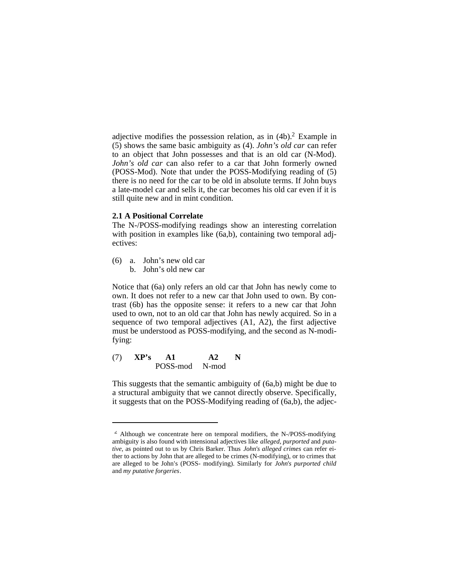adjective modifies the possession relation, as in (4b). <sup>2</sup> Example in (5) shows the same basic ambiguity as (4). *John's old car* can refer to an object that John possesses and that is an old car (N-Mod). *John's old car* can also refer to a car that John formerly owned (POSS-Mod). Note that under the POSS-Modifying reading of (5) there is no need for the car to be old in absolute terms. If John buys a late-model car and sells it, the car becomes his old car even if it is still quite new and in mint condition.

## **2.1 A Positional Correlate**

The N-/POSS-modifying readings show an interesting correlation with position in examples like (6a,b), containing two temporal adjectives:

- (6) a. John's new old car
	- b. John's old new car

Notice that (6a) only refers an old car that John has newly come to own. It does not refer to a new car that John used to own. By contrast (6b) has the opposite sense: it refers to a new car that John used to own, not to an old car that John has newly acquired. So in a sequence of two temporal adjectives (A1, A2), the first adjective must be understood as POSS-modifying, and the second as N-modifying:

$$
\begin{array}{cc}\n(7) & \mathbf{XP's} & \mathbf{A1} & \mathbf{A2} & \mathbf{N} \\
\mathbf{POSS-mod} & \mathbf{N-mod}\n\end{array}
$$

This suggests that the semantic ambiguity of (6a,b) might be due to a structural ambiguity that we cannot directly observe. Specifically, it suggests that on the POSS-Modifying reading of (6a,b), the adjec-

 $\overline{2}$  Although we concentrate here on temporal modifiers, the N-/POSS-modifying ambiguity is also found with intensional adjectives like *alleged, purported* and *putative*, as pointed out to us by Chris Barker. Thus *John's alleged crimes* can refer either to actions by John that are alleged to be crimes (N-modifying), or to crimes that are alleged to be John's (POSS- modifying). Similarly for *John's purported child* and *my putative forgeries*.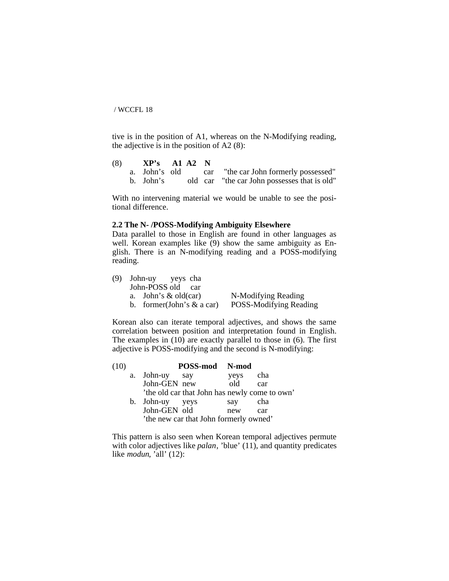tive is in the position of A1, whereas on the N-Modifying reading, the adjective is in the position of A2 $(8)$ :

- (8) **XP's A1 A2 N**  a. John's old car "the car John formerly possessed"
	- b. John's old car "the car John possesses that is old"

With no intervening material we would be unable to see the positional difference.

### **2.2 The N- /POSS-Modifying Ambiguity Elsewhere**

Data parallel to those in English are found in other languages as well. Korean examples like (9) show the same ambiguity as English. There is an N-modifying reading and a POSS-modifying reading.

| (9) John-uy yeys cha         |                        |
|------------------------------|------------------------|
| John-POSS old car            |                        |
| a. John's $\&$ old(car)      | N-Modifying Reading    |
| b. former(John's $\&$ a car) | POSS-Modifying Reading |

Korean also can iterate temporal adjectives, and shows the same correlation between position and interpretation found in English. The examples in  $(10)$  are exactly parallel to those in  $(6)$ . The first adjective is POSS-modifying and the second is N-modifying:

| (10) |                 | POSS-mod N-mod                                |      |     |
|------|-----------------|-----------------------------------------------|------|-----|
|      | a. John-uy say  |                                               | yeys | cha |
|      | John-GEN new    |                                               | old  | car |
|      |                 | 'the old car that John has newly come to own' |      |     |
|      | b. John-uy yeys |                                               | say  | cha |
|      | John-GEN old    |                                               | new  | car |
|      |                 | 'the new car that John formerly owned'        |      |     |

This pattern is also seen when Korean temporal adjectives permute with color adjectives like *palan*, 'blue' (11), and quantity predicates like *modun*, 'all' (12):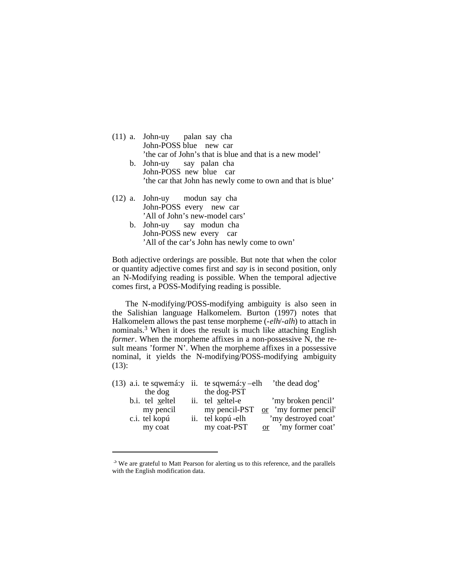| $(11)$ a. John-uy palan say cha                            |  |  |  |  |  |
|------------------------------------------------------------|--|--|--|--|--|
| John-POSS blue new car                                     |  |  |  |  |  |
| 'the car of John's that is blue and that is a new model'   |  |  |  |  |  |
| b. John-uy say palan cha                                   |  |  |  |  |  |
| John-POSS new blue car                                     |  |  |  |  |  |
| 'the car that John has newly come to own and that is blue' |  |  |  |  |  |
| (12) a. John-uy modun say cha                              |  |  |  |  |  |
| John-POSS every new car                                    |  |  |  |  |  |
| 'All of John's new-model cars'                             |  |  |  |  |  |
| b. John-uy say modun cha                                   |  |  |  |  |  |

John-POSS new every car 'All of the car's John has newly come to own'

Both adjective orderings are possible. But note that when the color or quantity adjective comes first and *say* is in second position, only an N-Modifying reading is possible. When the temporal adjective comes first, a POSS-Modifying reading is possible.

The N-modifying/POSS-modifying ambiguity is also seen in the Salishian language Halkomelem. Burton (1997) notes that Halkomelem allows the past tense morpheme (-*elh*/-*alh*) to attach in nominals. <sup>3</sup> When it does the result is much like attaching English *former*. When the morpheme affixes in a non-possessive N, the result means 'former N'. When the morpheme affixes in a possessive nominal, it yields the N-modifying/POSS-modifying ambiguity (13):

|           |                                  |             | the dead dog'                                                                         |
|-----------|----------------------------------|-------------|---------------------------------------------------------------------------------------|
| the dog   |                                  | the dog-PST |                                                                                       |
|           |                                  |             | 'my broken pencil'                                                                    |
| my pencil |                                  |             | my pencil-PST <u>or</u> 'my former pencil'                                            |
|           |                                  |             | 'my destroyed coat'                                                                   |
| my coat   |                                  | my coat-PST | or 'my former coat'                                                                   |
|           | b.i. tel xeltel<br>c.i. tel kopú |             | $(13)$ a.i. te sqwemá: y ii. te sqwemá: y-elh<br>ii. tel xeltel-e<br>ii. tel kopú-elh |

<sup>3</sup> We are grateful to Matt Pearson for alerting us to this reference, and the parallels with the English modification data.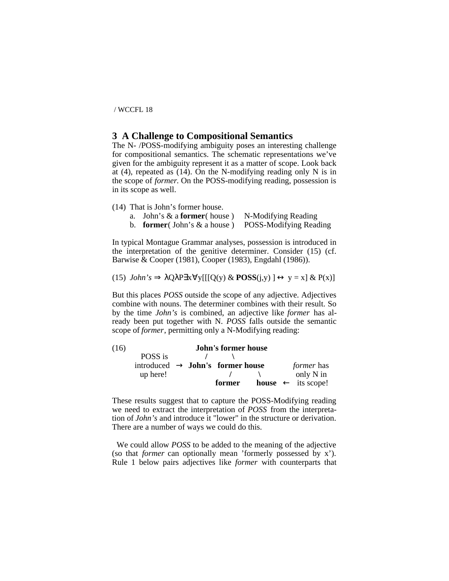# **3 A Challenge to Compositional Semantics**

The N- /POSS-modifying ambiguity poses an interesting challenge for compositional semantics. The schematic representations we've given for the ambiguity represent it as a matter of scope. Look back at  $(4)$ , repeated as  $(14)$ . On the N-modifying reading only N is in the scope of *former*. On the POSS-modifying reading, possession is in its scope as well.

- (14) That is John's former house.
	- a. John's & a **former**( house ) N-Modifying Reading
	- b. **former**( John's & a house ) POSS-Modifying Reading

In typical Montague Grammar analyses, possession is introduced in the interpretation of the genitive determiner. Consider (15) (cf. Barwise & Cooper (1981), Cooper (1983), Engdahl (1986)).

(15) *John's*  $\Rightarrow \lambda Q \lambda P \exists x \forall y [[[Q(y) \& POSS(j, y)] \leftrightarrow y = x] \& P(x)]$ 

But this places *POSS* outside the scope of any adjective. Adjectives combine with nouns. The determiner combines with their result. So by the time *John's* is combined, an adjective like *former* has already been put together with N. *POSS* falls outside the semantic scope of *former*, permitting only a N-Modifying reading:

| (16) |                                                     |  |        |  |                                      |
|------|-----------------------------------------------------|--|--------|--|--------------------------------------|
|      | POSS is                                             |  |        |  |                                      |
|      | introduced $\rightarrow$ <b>John's former house</b> |  |        |  | <i>former</i> has                    |
|      | up here!                                            |  |        |  | only N in                            |
|      |                                                     |  | former |  | <b>house</b> $\leftarrow$ its scope! |

These results suggest that to capture the POSS-Modifying reading we need to extract the interpretation of *POSS* from the interpretation of *John's* and introduce it "lower" in the structure or derivation. There are a number of ways we could do this.

We could allow *POSS* to be added to the meaning of the adjective (so that *former* can optionally mean 'formerly possessed by x'). Rule 1 below pairs adjectives like *former* with counterparts that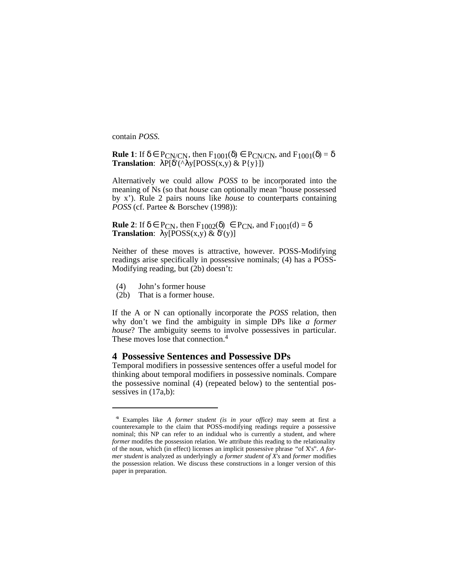contain *POSS*.

**Rule 1**: If  $\delta \in PCN/CN$ , then  $F_{1001}(\delta) \in PCN/CN$ , and  $F_{1001}(\delta) = \delta$ **Translation**:  $\lambda P[\delta'(\Lambda y | \text{POS}(x, y) \& P\{y\}])$ 

Alternatively we could allow *POSS* to be incorporated into the meaning of Ns (so that *house* can optionally mean "house possessed by x'). Rule 2 pairs nouns like *house* to counterparts containing *POSS* (cf. Partee & Borschev (1998)):

**Rule 2**: If  $\delta \in P_{CN}$ , then  $F_{1002}(\delta) \in P_{CN}$ , and  $F_{1001}(d) = \delta$ **Translation**:  $\lambda y [POSS(x,y) \& \delta'(y)]$ 

Neither of these moves is attractive, however. POSS-Modifying readings arise specifically in possessive nominals; (4) has a POSS-Modifying reading, but (2b) doesn't:

- (4) John's former house
- (2b) That is a former house.

If the A or N can optionally incorporate the *POSS* relation, then why don't we find the ambiguity in simple DPs like *a former house*? The ambiguity seems to involve possessives in particular. These moves lose that connection.<sup>4</sup>

# **4 Possessive Sentences and Possessive DPs**

Temporal modifiers in possessive sentences offer a useful model for thinking about temporal modifiers in possessive nominals. Compare the possessive nominal (4) (repeated below) to the sentential possessives in  $(17a,b)$ :

<sup>4</sup> Examples like *A former student (is in your office)* may seem at first a counterexample to the claim that POSS-modifying readings require a possessive nominal; this NP can refer to an indidual who is currently a student, and where *former* modifes the possession relation. We attribute this reading to the relationality of the noun, which (in effect) licenses an implicit possessive phrase "of X's". *A former student* is analyzed as underlyingly *a former student of X's* and *former* modifies the possession relation. We discuss these constructions in a longer version of this paper in preparation.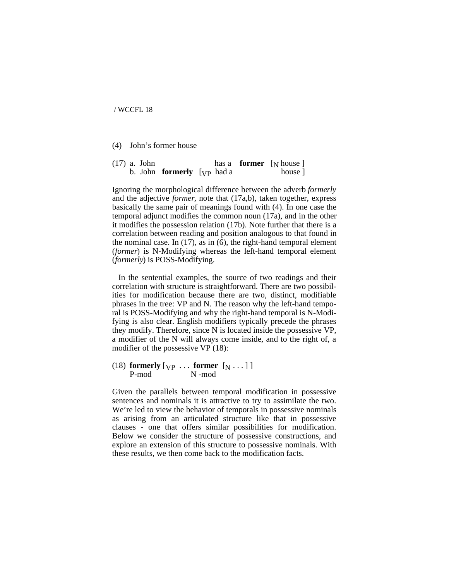(4) John's former house

|  | $(17)$ a. John |                                   |  | has a <b>former</b> $\lceil_{\mathbf{N}}$ house $\rceil$ |
|--|----------------|-----------------------------------|--|----------------------------------------------------------|
|  |                | b. John <b>formerly</b> [yp had a |  | house 1                                                  |

Ignoring the morphological difference between the adverb *formerly* and the adjective *former*, note that (17a,b), taken together, express basically the same pair of meanings found with (4). In one case the temporal adjunct modifies the common noun (17a), and in the other it modifies the possession relation (17b). Note further that there is a correlation between reading and position analogous to that found in the nominal case. In (17), as in (6), the right-hand temporal element (*former*) is N-Modifying whereas the left-hand temporal element (*formerly*) is POSS-Modifying.

In the sentential examples, the source of two readings and their correlation with structure is straightforward. There are two possibilities for modification because there are two, distinct, modifiable phrases in the tree: VP and N. The reason why the left-hand temporal is POSS-Modifying and why the right-hand temporal is N-Modifying is also clear. English modifiers typically precede the phrases they modify. Therefore, since N is located inside the possessive VP, a modifier of the N will always come inside, and to the right of, a modifier of the possessive VP (18):

(18) **formerly**  $[\text{vp} \dots \text{former } [\text{N} \dots]$ <br>P-mod  $[\text{N} \mod]$ N -mod

Given the parallels between temporal modification in possessive sentences and nominals it is attractive to try to assimilate the two. We're led to view the behavior of temporals in possessive nominals as arising from an articulated structure like that in possessive clauses - one that offers similar possibilities for modification. Below we consider the structure of possessive constructions, and explore an extension of this structure to possessive nominals. With these results, we then come back to the modification facts.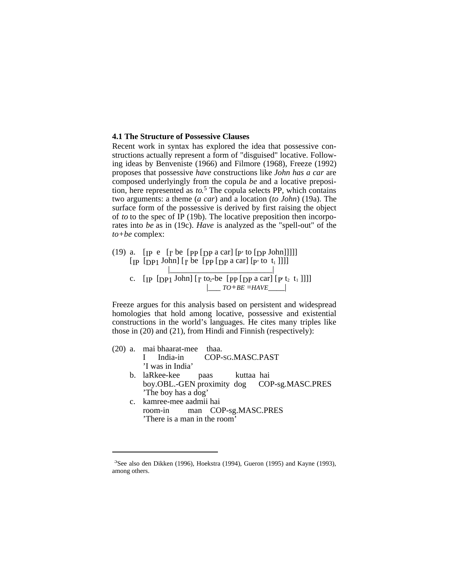#### **4.1 The Structure of Possessive Clauses**

Recent work in syntax has explored the idea that possessive constructions actually represent a form of "disguised" locative. Following ideas by Benveniste (1966) and Filmore (1968), Freeze (1992) proposes that possessive *have* constructions like *John has a car* are composed underlyingly from the copula *be* and a locative preposition, here represented as *to*. <sup>5</sup> The copula selects PP, which contains two arguments: a theme (*a car*) and a location (*to John*) (19a). The surface form of the possessive is derived by first raising the object of *to* to the spec of IP (19b). The locative preposition then incorporates into *be* as in (19c). *Have* is analyzed as the "spell-out" of the *to+be* complex:

(19) a.  $[p e]$   $[p b]$   $[pp]$   $[qp a car]$   $[p' to [pp]$   $[John]]$ ]  $\left[$  [IP  $\left[$   $DPI$  John $\right]$   $\left[$   $\Gamma$  be  $\left[$   $PPI$   $\left[$   $DPI$   $\right]$   $\alpha$  car $\left[$   $\left[$   $\Gamma$   $\right]$  to  $t_1$   $\left[$   $\right]$   $\left[$  |\_\_\_\_\_\_\_\_\_\_\_\_\_\_\_\_\_\_\_\_\_\_\_\_\_| c.  $[p \text{ [pp1 John]} [r \text{ to}_2 \text{-be} [pp \text{ [pp a car]} [p \text{ t}_2 \text{ t}_1]]]]$ |\_\_\_ *TO+BE* =*HAVE*\_\_\_\_|

Freeze argues for this analysis based on persistent and widespread homologies that hold among locative, possessive and existential constructions in the world's languages. He cites many triples like those in (20) and (21), from Hindi and Finnish (respectively):

(20) a. mai bhaarat-mee thaa. I India-in COP-SG.MASC.PAST 'I was in India' b. laRkee-kee paas kuttaa hai boy.OBL.-GEN proximity dog COP-sg.MASC.PRES 'The boy has a dog' c. kamree-mee aadmii hai room-in man COP-sg.MASC.PRES 'There is a man in the room'

<sup>5</sup>See also den Dikken (1996), Hoekstra (1994), Gueron (1995) and Kayne (1993), among others.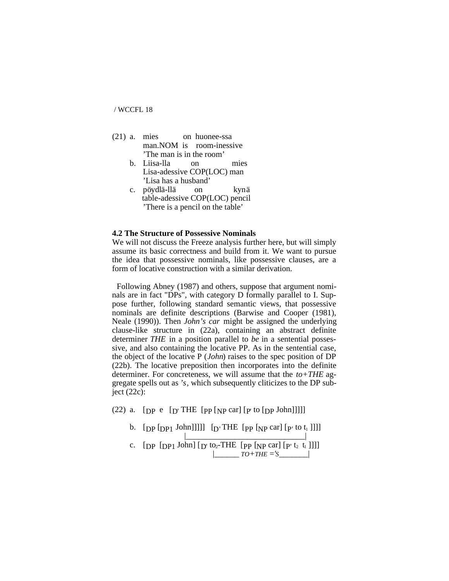- (21) a. mies on huonee-ssa man.NOM is room-inessive 'The man is in the room'
	- b. Liisa-lla on mies Lisa-adessive COP(LOC) man 'Lisa has a husband'
	- c. pöydlä-llä on kynä table-adessive COP(LOC) pencil 'There is a pencil on the table'

#### **4.2 The Structure of Possessive Nominals**

We will not discuss the Freeze analysis further here, but will simply assume its basic correctness and build from it. We want to pursue the idea that possessive nominals, like possessive clauses, are a form of locative construction with a similar derivation.

Following Abney (1987) and others, suppose that argument nominals are in fact "DPs", with category D formally parallel to I. Suppose further, following standard semantic views, that possessive nominals are definite descriptions (Barwise and Cooper (1981), Neale (1990)). Then *John's car* might be assigned the underlying clause-like structure in (22a), containing an abstract definite determiner *THE* in a position parallel to *be* in a sentential possessive, and also containing the locative PP. As in the sentential case, the object of the locative P (*John*) raises to the spec position of DP (22b). The locative preposition then incorporates into the definite determiner. For concreteness, we will assume that the *to+THE* aggregate spells out as *'s*, which subsequently cliticizes to the DP subject  $(22c)$ :

(22) a.  $[pP e [D' THE [PP [NP car] [P' to [DP John]]]]]$ 

- b.  $[pp[DP1] John]]]]$   $[p'THE [pp [NP car] [p' to t_1]]]]$
- |\_\_\_\_\_\_\_\_\_\_\_\_\_\_\_\_\_\_\_\_\_\_\_\_\_\_\_\_\_| c.  $[pp [pp1 John] [D' to2-THE [pp [NP car] [p' t2 t_1]]]]$  $TO+THE = 'S$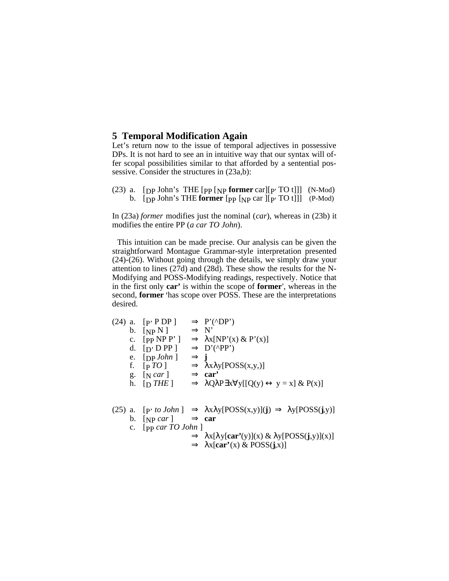# **5 Temporal Modification Again**

Let's return now to the issue of temporal adjectives in possessive DPs. It is not hard to see an in intuitive way that our syntax will offer scopal possibilities similar to that afforded by a sentential possessive. Consider the structures in (23a,b):

(23) a. [DP John's THE [PP [NP **former** car][P' TO t]]] (N-Mod) b. [DP John's THE **former** [PP [NP car ][P' TO t]]] (P-Mod)

In (23a) *former* modifies just the nominal (*car*), whereas in (23b) it modifies the entire PP (*a car TO John*).

This intuition can be made precise. Our analysis can be given the straightforward Montague Grammar-style interpretation presented (24)-(26). Without going through the details, we simply draw your attention to lines (27d) and (28d). These show the results for the N-Modifying and POSS-Modifying readings, respectively. Notice that in the first only **car'** is within the scope of **former**', whereas in the second, **former** 'has scope over POSS. These are the interpretations desired.

(24) a. 
$$
[P' P DP]
$$
  $\Rightarrow P'(\Delta P')$   
\nb.  $[NP N]$   $\Rightarrow N'$   
\nc.  $[PP NP P'] \Rightarrow \lambda x [NP'(x) \& P'(x)]$   
\nd.  $[D' DP P]$   $\Rightarrow D'(\Delta P'')$   
\ne.  $[DP John]$   $\Rightarrow j$   
\nf.  $[PTO]$   $\Rightarrow \lambda x \lambda y [POSS(x,y,)]$   
\ng.  $[N car]$   $\Rightarrow car'$   
\nh.  $[D THE]$   $\Rightarrow \lambda Q \lambda P \exists x \forall y [[Q(y) \leftrightarrow y = x] \& P(x)]$ 

25) a. [p' to *John*] 
$$
\Rightarrow
$$
  $\lambda x \lambda y [POSs(x,y)](J) \Rightarrow \lambda y [POSs(J,y)]$   
b. [NP *car*]  $\Rightarrow$  **car**  
c. [pp *car TO John*]  
 $\Rightarrow \lambda x [\lambda y [car'(y)](x) \& \lambda y [POSs(j,y)](x)]$   
 $\Rightarrow \lambda x [car'(x) \& POSs(j,x)]$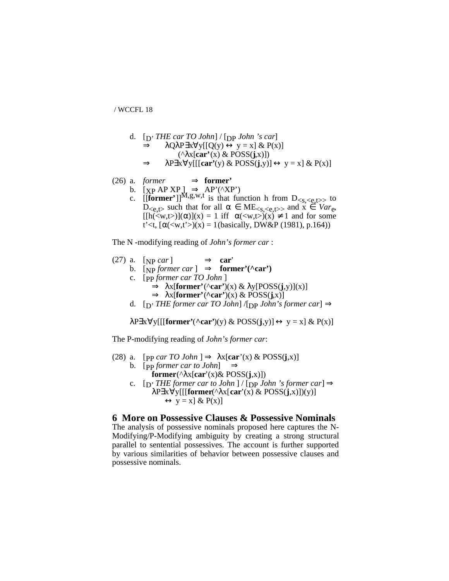d. 
$$
[D' THE car TO John] / [Dp John 's car]
$$

$$
\Rightarrow \lambda Q\lambda P \exists x \forall y [[Q(y) \leftrightarrow y = x] \& P(x)]
$$

$$
(\land x[car'(x) \& POSS(j, x)])
$$

$$
\Rightarrow \lambda P \exists x \forall y [[[car'(y) \& POSS(j, y)] \leftrightarrow y = x] \& P(x)]
$$

(26) a. *former* 
$$
\Rightarrow
$$
 **former**'

- b.  $[\text{XP AP } \text{XP}]\Rightarrow \text{AP'}(^{\wedge}\text{XP'})$ 
	- c.  $[[\text{former'}]]^{M,g,w,t}$  is that function h from  $D_{\leq s,\leq e,t>}$  to  $D_{\leq \mathbf{e}, \mathbf{t}}$  such that for all  $\alpha \in \text{ME}_{\leq \mathbf{s}, \leq \mathbf{e}, \mathbf{t}}$  and  $\mathbf{x} \in \text{Var}_{\mathbf{e}}$ ,  $[[h()](\alpha)](x) = 1$  iff  $\alpha()(x) \neq 1$  and for some t'<t,  $\lceil \alpha(\langle w, t' \rangle)(x) = 1$ (basically, DW&P (1981), p.164))

The N -modifying reading of *John's former car* :

(27) a. [NP car] 
$$
\Rightarrow
$$
 car'  
b. [NP *former car*]  $\Rightarrow$  **former'(\*car')**  
c. [PP *former car TO John* ]  
 $\Rightarrow$   $\lambda x$  [**former'(\*car')(x) &  $\lambda y$ [POSS(j,y)](x)]  
 $\Rightarrow$   $\lambda x$  [**former'(\*car')(x) &  $\lambda y$ [POSS(j,x)]  
d. [D' *THE former car TO John*] / [DP *John's former car*]  $\Rightarrow$**** 

 $\lambda$ P∃x∀y[[[**former'**(**^car'**)(y) & POSS(**j**,y)]  $\leftrightarrow$  y = x] & P(x)]

The P-modifying reading of *John's former car*:

(28) a. [pp car *TO John*] 
$$
\Rightarrow \lambda x[\text{car}(x) \& \text{POSS}(j,x)]
$$

- b. [pp *former car to John*]  $\Rightarrow$ **former**( $\lambda x$ **[car'**(x)& POSS(**j**,x)])
- c.  $[p'$  *THE former car to John*  $]/[pp$  *John 's former car* $] \Rightarrow$ λP∃x∀y[[[**former**(^λx[**car**'(x) & POSS(**j**,x)])(y)]  $\leftrightarrow$  y = x] & P(x)]

# **6 More on Possessive Clauses & Possessive Nominals**

The analysis of possessive nominals proposed here captures the N-Modifying/P-Modifying ambiguity by creating a strong structural parallel to sentential possessives. The account is further supported by various similarities of behavior between possessive clauses and possessive nominals.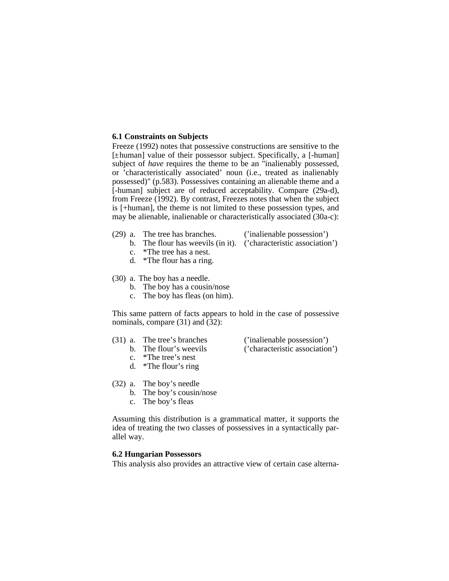### **6.1 Constraints on Subjects**

Freeze (1992) notes that possessive constructions are sensitive to the [±human] value of their possessor subject. Specifically, a [-human] subject of *have* requires the theme to be an "inalienably possessed, or 'characteristically associated' noun (i.e., treated as inalienably possessed)" (p.583). Possessives containing an alienable theme and a [-human] subject are of reduced acceptability. Compare (29a-d), from Freeze (1992). By contrast, Freezes notes that when the subject is [+human], the theme is not limited to these possession types, and may be alienable, inalienable or characteristically associated (30a-c):

- (29) a. The tree has branches. ('inalienable possession')
	-
	- b. The flour has weevils (in it). ('characteristic association')
	- c. \*The tree has a nest.
	- d. \*The flour has a ring.

(30) a. The boy has a needle.

- b. The boy has a cousin/nose
- c. The boy has fleas (on him).

This same pattern of facts appears to hold in the case of possessive nominals, compare (31) and (32):

(31) a. The tree's branches ('inalienable possession')

b. The flour's weevils ('characteristic association')

- c. \*The tree's nest
- d. \*The flour's ring
- (32) a. The boy's needle
	- b. The boy's cousin/nose
	- c. The boy's fleas

Assuming this distribution is a grammatical matter, it supports the idea of treating the two classes of possessives in a syntactically parallel way.

## **6.2 Hungarian Possessors**

This analysis also provides an attractive view of certain case alterna-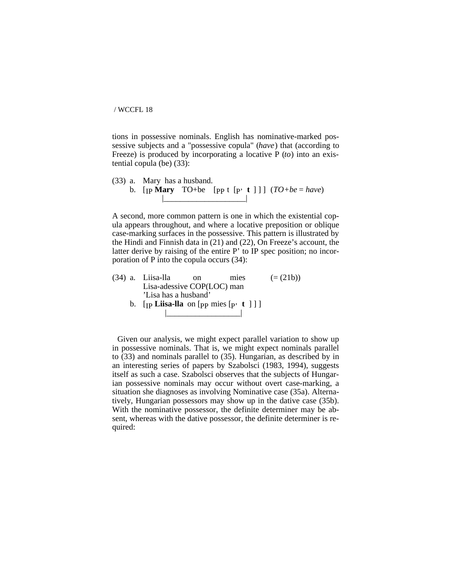tions in possessive nominals. English has nominative-marked possessive subjects and a "possessive copula" (*have*) that (according to Freeze) is produced by incorporating a locative P (*to*) into an existential copula (be) (33):

(33) a. Mary has a husband. b.  $[p \text{ Mary } TO+be [pp t [p' t ]]] (TO+be = have)$ |\_\_\_\_\_\_\_\_\_\_\_\_\_\_\_\_\_\_\_\_|

A second, more common pattern is one in which the existential copula appears throughout, and where a locative preposition or oblique case-marking surfaces in the possessive. This pattern is illustrated by the Hindi and Finnish data in (21) and (22), On Freeze's account, the latter derive by raising of the entire P' to IP spec position; no incorporation of P into the copula occurs (34):

 $(34)$  a. Liisa-lla on mies  $(=(21b))$ Lisa-adessive COP(LOC) man 'Lisa has a husband' b.  $[p \text{ Liisa-lla} \text{ on } [pp \text{ mies } [p \text{ } t \text{ } ] ]]$ 

|\_\_\_\_\_\_\_\_\_\_\_\_\_\_\_\_\_\_|

Given our analysis, we might expect parallel variation to show up in possessive nominals. That is, we might expect nominals parallel to (33) and nominals parallel to (35). Hungarian, as described by in an interesting series of papers by Szabolsci (1983, 1994), suggests itself as such a case. Szabolsci observes that the subjects of Hungarian possessive nominals may occur without overt case-marking, a situation she diagnoses as involving Nominative case (35a). Alternatively, Hungarian possessors may show up in the dative case (35b). With the nominative possessor, the definite determiner may be absent, whereas with the dative possessor, the definite determiner is required: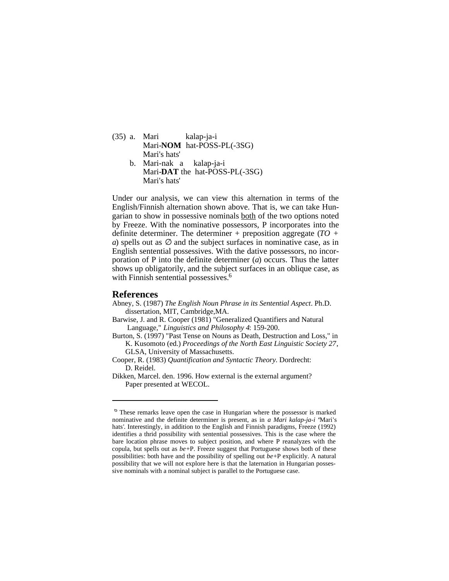- (35) a. Mari kalap-ja-i Mari-**NOM** hat-POSS-PL(-3SG) Mari's hats' b. Mari-nak a kalap-ja-i
	- Mari-**DAT** the hat-POSS-PL(-3SG) Mari's hats'

Under our analysis, we can view this alternation in terms of the English/Finnish alternation shown above. That is, we can take Hungarian to show in possessive nominals both of the two options noted by Freeze. With the nominative possessors, P incorporates into the definite determiner. The determiner + preposition aggregate (*TO + a*) spells out as  $\varnothing$  and the subject surfaces in nominative case, as in English sentential possessives. With the dative possessors, no incorporation of P into the definite determiner (*a*) occurs. Thus the latter shows up obligatorily, and the subject surfaces in an oblique case, as with Finnish sentential possessives.<sup>6</sup>

#### **References**

- Abney, S. (1987) *The English Noun Phrase in its Sentential Aspect*. Ph.D. dissertation, MIT, Cambridge,MA.
- Barwise, J. and R. Cooper (1981) "Generalized Quantifiers and Natural Language," *Linguistics and Philosophy 4*: 159-200.
- Burton, S. (1997) "Past Tense on Nouns as Death, Destruction and Loss," in K. Kusomoto (ed.) *Proceedings of the North East Linguistic Society 27*, GLSA, University of Massachusetts.
- Cooper, R. (1983) *Quantification and Syntactic Theory*. Dordrecht: D. Reidel.
- Dikken, Marcel. den. 1996. How external is the external argument? Paper presented at WECOL.

<sup>&</sup>lt;sup>o</sup> These remarks leave open the case in Hungarian where the possessor is marked nominative and the definite determiner is present, as in *a Mari kalap-ja-i* Mari's hats'. Interestingly, in addition to the English and Finnish paradigms, Freeze (1992) identifies a thrid possibility with sentential possessives. This is the case where the bare location phrase moves to subject position, and where P reanalyzes with the copula, but spells out as *be*+P. Freeze suggest that Portuguese shows both of these possibilities: both have and the possibility of spelling out *be*+P explicitly. A natural possibility that we will not explore here is that the laternation in Hungarian possessive nominals with a nominal subject is parallel to the Portuguese case.